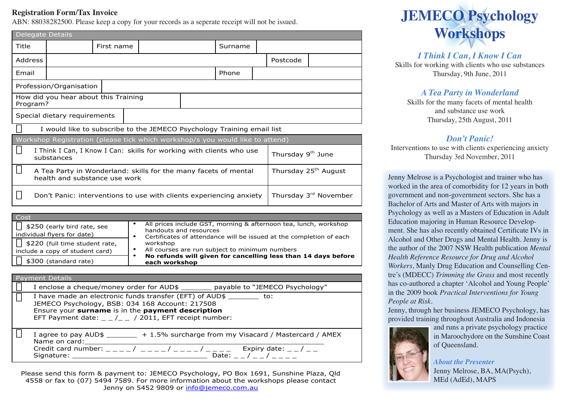### ${\bf Registeration \; Form/Tax \; Invoice}$

ABN: 88038282500. Please keep a copy for your records as a seperate receipt will not be issued.

| <b>Delegate Details</b>                                                                                                                                                                                                                                                                                        |                                                                                                  |  |                                                                               |       |          |                               |                                  |  |
|----------------------------------------------------------------------------------------------------------------------------------------------------------------------------------------------------------------------------------------------------------------------------------------------------------------|--------------------------------------------------------------------------------------------------|--|-------------------------------------------------------------------------------|-------|----------|-------------------------------|----------------------------------|--|
| Title                                                                                                                                                                                                                                                                                                          | First name                                                                                       |  |                                                                               |       | Surname  |                               |                                  |  |
| <b>Address</b>                                                                                                                                                                                                                                                                                                 |                                                                                                  |  |                                                                               |       | Postcode |                               |                                  |  |
| Email                                                                                                                                                                                                                                                                                                          |                                                                                                  |  |                                                                               | Phone |          |                               |                                  |  |
| Profession/Organisation                                                                                                                                                                                                                                                                                        |                                                                                                  |  |                                                                               |       |          |                               |                                  |  |
| How did you hear about this Training<br>Program?                                                                                                                                                                                                                                                               |                                                                                                  |  |                                                                               |       |          |                               |                                  |  |
| Special dietary requirements                                                                                                                                                                                                                                                                                   |                                                                                                  |  |                                                                               |       |          |                               |                                  |  |
| I would like to subscribe to the JEMECO Psychology Training email list                                                                                                                                                                                                                                         |                                                                                                  |  |                                                                               |       |          |                               |                                  |  |
|                                                                                                                                                                                                                                                                                                                |                                                                                                  |  | Workshop Registration (please tick which workshop/s you would like to attend) |       |          |                               |                                  |  |
|                                                                                                                                                                                                                                                                                                                | I Think I Can, I Know I Can: skills for working with clients who use<br>substances               |  |                                                                               |       |          | Thursday 9 <sup>th</sup> June |                                  |  |
| $\Box$                                                                                                                                                                                                                                                                                                         | A Tea Party in Wonderland: skills for the many facets of mental<br>health and substance use work |  |                                                                               |       |          |                               | Thursday 25 <sup>th</sup> August |  |
| $\mathsf{L}$                                                                                                                                                                                                                                                                                                   | Don't Panic: interventions to use with clients experiencing anxiety                              |  |                                                                               |       |          | Thursday 3rd November         |                                  |  |
| Cost<br>All prices include GST, morning & afternoon tea, lunch, workshop<br>$\bullet$<br>\$250 (early bird rate, see<br>handouts and resources<br>individual flyers for date)<br>Certificates of attendance will be issued at the completion of each<br>$\bullet$<br>\$720 (full time student rate<br>workshon |                                                                                                  |  |                                                                               |       |          |                               |                                  |  |

| include a copy of student card)<br>$\left  \ \right $ \$300 (standard rate) | All courses are run subject to minimum numbers<br>No refunds will given for cancelling less than 14 days before<br>each workshop |  |  |  |  |
|-----------------------------------------------------------------------------|----------------------------------------------------------------------------------------------------------------------------------|--|--|--|--|
| $\left  \ \right $ \$220 (full time student rate,                           | workshop                                                                                                                         |  |  |  |  |
| individual flyers for date)                                                 | nangouts and resources<br>Certificates of attendance will be issued at the completion of each                                    |  |  |  |  |

| <b>Payment Details</b>                                                                                                                                                                                                                                               |  |  |  |  |  |  |
|----------------------------------------------------------------------------------------------------------------------------------------------------------------------------------------------------------------------------------------------------------------------|--|--|--|--|--|--|
| I enclose a cheque/money order for AUD\$ ________ payable to "JEMECO Psychology"                                                                                                                                                                                     |  |  |  |  |  |  |
| I have made an electronic funds transfer (EFT) of AUD\$<br>to:<br>JEMECO Psychology, BSB: 034 168 Account: 217508<br>Ensure your surname is in the payment description<br>EFT Payment date: $\angle$ / $\angle$ / 2011, EFT receipt number:                          |  |  |  |  |  |  |
| + 1.5% surcharge from my Visacard / Mastercard / AMEX<br>I agree to pay AUD\$<br>Name on card:<br>Credit card number: $\frac{1}{2} - \frac{1}{2} = \frac{1}{2} - \frac{1}{2} = \frac{1}{2} - \frac{1}{2} = \frac{1}{2}$<br>Expiry date: $_{-}$ / $_{-}$<br>Date: / / |  |  |  |  |  |  |

Please send this form & payment to: JEMECO Psychology, PO Box 1691, Sunshine Plaza, Qld 4558 or fax to (07) 5494 7589. For more information about the workshops please contact Jenny on 5452 9809 or info@jemeco.com.au



## *I Think I Can, I Know I Can*

Skills for working with clients who use substances Thursday, 9th June, 2011

## *A Tea Party in Wonderland*

Skills for the many facets of mental health and substance use work Thursday, 25th August, 2011

## *Don't Panic!*

Interventions to use with clients experiencing anxiety Thursday 3rd November, 2011

Workers, Manly Drug Education and Counselling Centre's (MDECC) *Trimming the Grass* and most recently has co-authored a chapter 'Alcohol and Young People' BA, MA(Psych), *People at Risk*. Health Reference Resource for Drug and Alcohol *and the area of area of a* in the 2009 book *Practical Interventions for Young* Jenny Melrose is a Psychologist and trainer who has worked in the area of comorbidity for 12 years in both government and non-government sectors. She has a Bachelor of Arts and Master of Arts with majors in Psychology as well as a Masters of Education in Adult Education majoring in Human Resource Development. She has also recently obtained Certificate IVs in Alcohol and Other Drugs and Mental Health. Jenny is the author of the 2007 NSW Health publication *Mental* 

Jenny, through her business JEMECO Psychology, has provided training throughout Australia and Indonesia



and runs a private psychology practice in Maroochydore on the Sunshine Coast of Queensland.

*Jenny, the Presenter* Jenny, has provided the provided training training training training training training training training training training training training training training training training training training trai Jenny Melrose, BA, MA(Psych),  $Aulc<sub>0</sub>, MAP<sub>0</sub>$ *About the Presenter* MEd (AdEd), MAPS